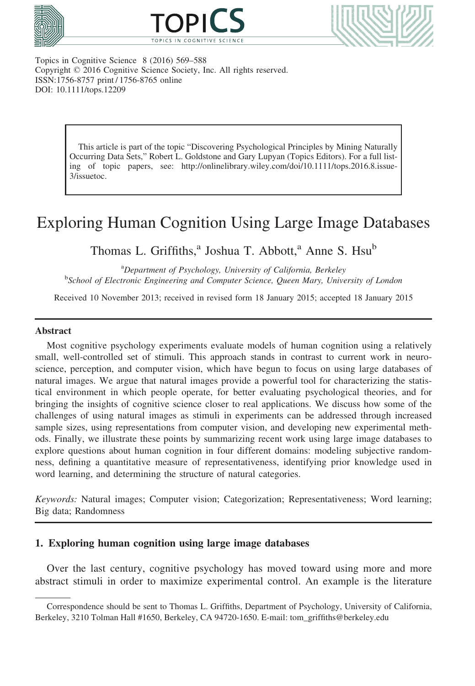





Topics in Cognitive Science 8 (2016) 569–588 Copyright © 2016 Cognitive Science Society, Inc. All rights reserved. ISSN:1756-8757 print / 1756-8765 online DOI: 10.1111/tops.12209

> This article is part of the topic "Discovering Psychological Principles by Mining Naturally Occurring Data Sets," Robert L. Goldstone and Gary Lupyan (Topics Editors). For a full listing of topic papers, see: [http://onlinelibrary.wiley.com/doi/10.1111/tops.2016.8.issue-](http://onlinelibrary.wiley.com/doi/10.1111/tops.2016.8.issue-3/issuetoc)[3/issuetoc](http://onlinelibrary.wiley.com/doi/10.1111/tops.2016.8.issue-3/issuetoc).

# Exploring Human Cognition Using Large Image Databases

Thomas L. Griffiths,<sup>a</sup> Joshua T. Abbott,<sup>a</sup> Anne S. Hsu<sup>b</sup>

<sup>a</sup>Department of Psychology, University of California, Berkeley <sup>a</sup>Department of Psychology, University of California, Berkeley<br>PSchool of Electronic Engineering and Computer Science, Queen Mary, University of London

Received 10 November 2013; received in revised form 18 January 2015; accepted 18 January 2015

## Abstract

Most cognitive psychology experiments evaluate models of human cognition using a relatively small, well-controlled set of stimuli. This approach stands in contrast to current work in neuroscience, perception, and computer vision, which have begun to focus on using large databases of natural images. We argue that natural images provide a powerful tool for characterizing the statistical environment in which people operate, for better evaluating psychological theories, and for bringing the insights of cognitive science closer to real applications. We discuss how some of the challenges of using natural images as stimuli in experiments can be addressed through increased sample sizes, using representations from computer vision, and developing new experimental methods. Finally, we illustrate these points by summarizing recent work using large image databases to explore questions about human cognition in four different domains: modeling subjective randomness, defining a quantitative measure of representativeness, identifying prior knowledge used in word learning, and determining the structure of natural categories.

Keywords: Natural images; Computer vision; Categorization; Representativeness; Word learning; Big data; Randomness

# 1. Exploring human cognition using large image databases

Over the last century, cognitive psychology has moved toward using more and more abstract stimuli in order to maximize experimental control. An example is the literature

Correspondence should be sent to Thomas L. Griffiths, Department of Psychology, University of California, Berkeley, 3210 Tolman Hall #1650, Berkeley, CA 94720-1650. E-mail: tom\_griffiths@berkeley.edu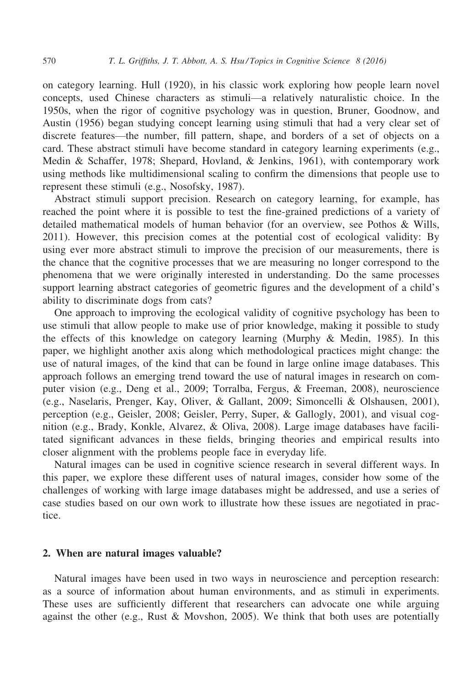on category learning. Hull (1920), in his classic work exploring how people learn novel concepts, used Chinese characters as stimuli—a relatively naturalistic choice. In the 1950s, when the rigor of cognitive psychology was in question, Bruner, Goodnow, and Austin (1956) began studying concept learning using stimuli that had a very clear set of discrete features—the number, fill pattern, shape, and borders of a set of objects on a card. These abstract stimuli have become standard in category learning experiments (e.g., Medin & Schaffer, 1978; Shepard, Hovland, & Jenkins, 1961), with contemporary work using methods like multidimensional scaling to confirm the dimensions that people use to represent these stimuli (e.g., Nosofsky, 1987).

Abstract stimuli support precision. Research on category learning, for example, has reached the point where it is possible to test the fine-grained predictions of a variety of detailed mathematical models of human behavior (for an overview, see Pothos & Wills, 2011). However, this precision comes at the potential cost of ecological validity: By using ever more abstract stimuli to improve the precision of our measurements, there is the chance that the cognitive processes that we are measuring no longer correspond to the phenomena that we were originally interested in understanding. Do the same processes support learning abstract categories of geometric figures and the development of a child's ability to discriminate dogs from cats?

One approach to improving the ecological validity of cognitive psychology has been to use stimuli that allow people to make use of prior knowledge, making it possible to study the effects of this knowledge on category learning (Murphy & Medin, 1985). In this paper, we highlight another axis along which methodological practices might change: the use of natural images, of the kind that can be found in large online image databases. This approach follows an emerging trend toward the use of natural images in research on computer vision (e.g., Deng et al., 2009; Torralba, Fergus, & Freeman, 2008), neuroscience (e.g., Naselaris, Prenger, Kay, Oliver, & Gallant, 2009; Simoncelli & Olshausen, 2001), perception (e.g., Geisler, 2008; Geisler, Perry, Super, & Gallogly, 2001), and visual cognition (e.g., Brady, Konkle, Alvarez, & Oliva, 2008). Large image databases have facilitated significant advances in these fields, bringing theories and empirical results into closer alignment with the problems people face in everyday life.

Natural images can be used in cognitive science research in several different ways. In this paper, we explore these different uses of natural images, consider how some of the challenges of working with large image databases might be addressed, and use a series of case studies based on our own work to illustrate how these issues are negotiated in practice.

# 2. When are natural images valuable?

Natural images have been used in two ways in neuroscience and perception research: as a source of information about human environments, and as stimuli in experiments. These uses are sufficiently different that researchers can advocate one while arguing against the other (e.g., Rust  $\&$  Movshon, 2005). We think that both uses are potentially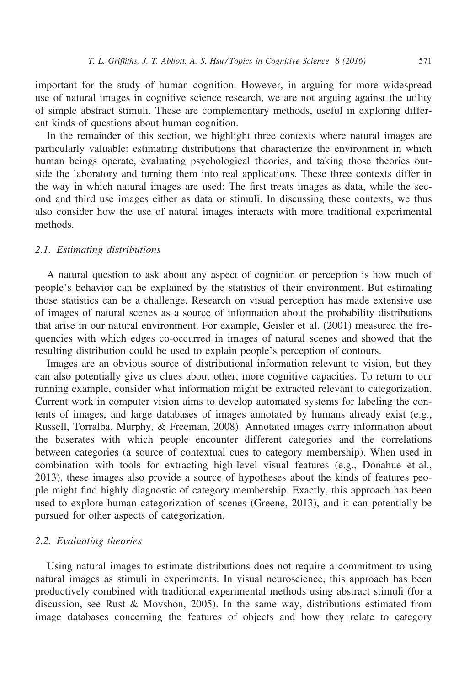important for the study of human cognition. However, in arguing for more widespread use of natural images in cognitive science research, we are not arguing against the utility of simple abstract stimuli. These are complementary methods, useful in exploring different kinds of questions about human cognition.

In the remainder of this section, we highlight three contexts where natural images are particularly valuable: estimating distributions that characterize the environment in which human beings operate, evaluating psychological theories, and taking those theories outside the laboratory and turning them into real applications. These three contexts differ in the way in which natural images are used: The first treats images as data, while the second and third use images either as data or stimuli. In discussing these contexts, we thus also consider how the use of natural images interacts with more traditional experimental methods.

#### 2.1. Estimating distributions

A natural question to ask about any aspect of cognition or perception is how much of people's behavior can be explained by the statistics of their environment. But estimating those statistics can be a challenge. Research on visual perception has made extensive use of images of natural scenes as a source of information about the probability distributions that arise in our natural environment. For example, Geisler et al. (2001) measured the frequencies with which edges co-occurred in images of natural scenes and showed that the resulting distribution could be used to explain people's perception of contours.

Images are an obvious source of distributional information relevant to vision, but they can also potentially give us clues about other, more cognitive capacities. To return to our running example, consider what information might be extracted relevant to categorization. Current work in computer vision aims to develop automated systems for labeling the contents of images, and large databases of images annotated by humans already exist (e.g., Russell, Torralba, Murphy, & Freeman, 2008). Annotated images carry information about the baserates with which people encounter different categories and the correlations between categories (a source of contextual cues to category membership). When used in combination with tools for extracting high-level visual features (e.g., Donahue et al., 2013), these images also provide a source of hypotheses about the kinds of features people might find highly diagnostic of category membership. Exactly, this approach has been used to explore human categorization of scenes (Greene, 2013), and it can potentially be pursued for other aspects of categorization.

## 2.2. Evaluating theories

Using natural images to estimate distributions does not require a commitment to using natural images as stimuli in experiments. In visual neuroscience, this approach has been productively combined with traditional experimental methods using abstract stimuli (for a discussion, see Rust & Movshon, 2005). In the same way, distributions estimated from image databases concerning the features of objects and how they relate to category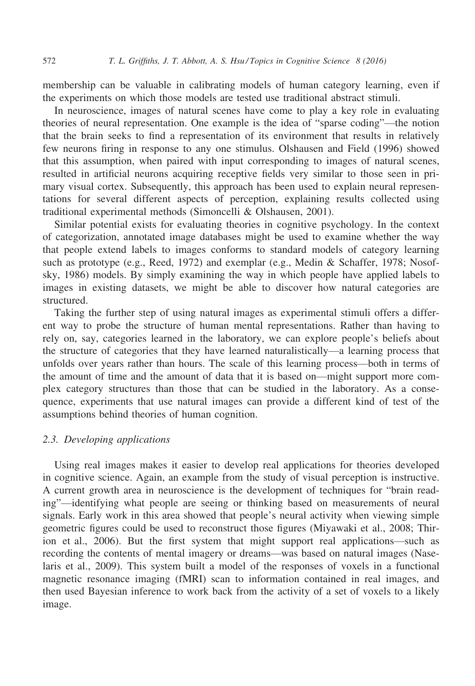membership can be valuable in calibrating models of human category learning, even if the experiments on which those models are tested use traditional abstract stimuli.

In neuroscience, images of natural scenes have come to play a key role in evaluating theories of neural representation. One example is the idea of "sparse coding"—the notion that the brain seeks to find a representation of its environment that results in relatively few neurons firing in response to any one stimulus. Olshausen and Field (1996) showed that this assumption, when paired with input corresponding to images of natural scenes, resulted in artificial neurons acquiring receptive fields very similar to those seen in primary visual cortex. Subsequently, this approach has been used to explain neural representations for several different aspects of perception, explaining results collected using traditional experimental methods (Simoncelli & Olshausen, 2001).

Similar potential exists for evaluating theories in cognitive psychology. In the context of categorization, annotated image databases might be used to examine whether the way that people extend labels to images conforms to standard models of category learning such as prototype (e.g., Reed, 1972) and exemplar (e.g., Medin & Schaffer, 1978; Nosofsky, 1986) models. By simply examining the way in which people have applied labels to images in existing datasets, we might be able to discover how natural categories are structured.

Taking the further step of using natural images as experimental stimuli offers a different way to probe the structure of human mental representations. Rather than having to rely on, say, categories learned in the laboratory, we can explore people's beliefs about the structure of categories that they have learned naturalistically—a learning process that unfolds over years rather than hours. The scale of this learning process—both in terms of the amount of time and the amount of data that it is based on—might support more complex category structures than those that can be studied in the laboratory. As a consequence, experiments that use natural images can provide a different kind of test of the assumptions behind theories of human cognition.

## 2.3. Developing applications

Using real images makes it easier to develop real applications for theories developed in cognitive science. Again, an example from the study of visual perception is instructive. A current growth area in neuroscience is the development of techniques for "brain reading"—identifying what people are seeing or thinking based on measurements of neural signals. Early work in this area showed that people's neural activity when viewing simple geometric figures could be used to reconstruct those figures (Miyawaki et al., 2008; Thirion et al., 2006). But the first system that might support real applications—such as recording the contents of mental imagery or dreams—was based on natural images (Naselaris et al., 2009). This system built a model of the responses of voxels in a functional magnetic resonance imaging (fMRI) scan to information contained in real images, and then used Bayesian inference to work back from the activity of a set of voxels to a likely image.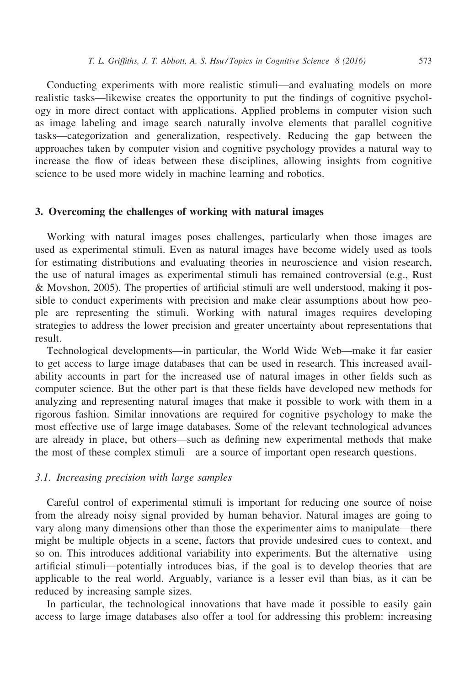Conducting experiments with more realistic stimuli—and evaluating models on more realistic tasks—likewise creates the opportunity to put the findings of cognitive psychology in more direct contact with applications. Applied problems in computer vision such as image labeling and image search naturally involve elements that parallel cognitive tasks—categorization and generalization, respectively. Reducing the gap between the approaches taken by computer vision and cognitive psychology provides a natural way to increase the flow of ideas between these disciplines, allowing insights from cognitive science to be used more widely in machine learning and robotics.

# 3. Overcoming the challenges of working with natural images

Working with natural images poses challenges, particularly when those images are used as experimental stimuli. Even as natural images have become widely used as tools for estimating distributions and evaluating theories in neuroscience and vision research, the use of natural images as experimental stimuli has remained controversial (e.g., Rust & Movshon, 2005). The properties of artificial stimuli are well understood, making it possible to conduct experiments with precision and make clear assumptions about how people are representing the stimuli. Working with natural images requires developing strategies to address the lower precision and greater uncertainty about representations that result.

Technological developments—in particular, the World Wide Web—make it far easier to get access to large image databases that can be used in research. This increased availability accounts in part for the increased use of natural images in other fields such as computer science. But the other part is that these fields have developed new methods for analyzing and representing natural images that make it possible to work with them in a rigorous fashion. Similar innovations are required for cognitive psychology to make the most effective use of large image databases. Some of the relevant technological advances are already in place, but others—such as defining new experimental methods that make the most of these complex stimuli—are a source of important open research questions.

#### 3.1. Increasing precision with large samples

Careful control of experimental stimuli is important for reducing one source of noise from the already noisy signal provided by human behavior. Natural images are going to vary along many dimensions other than those the experimenter aims to manipulate—there might be multiple objects in a scene, factors that provide undesired cues to context, and so on. This introduces additional variability into experiments. But the alternative—using artificial stimuli—potentially introduces bias, if the goal is to develop theories that are applicable to the real world. Arguably, variance is a lesser evil than bias, as it can be reduced by increasing sample sizes.

In particular, the technological innovations that have made it possible to easily gain access to large image databases also offer a tool for addressing this problem: increasing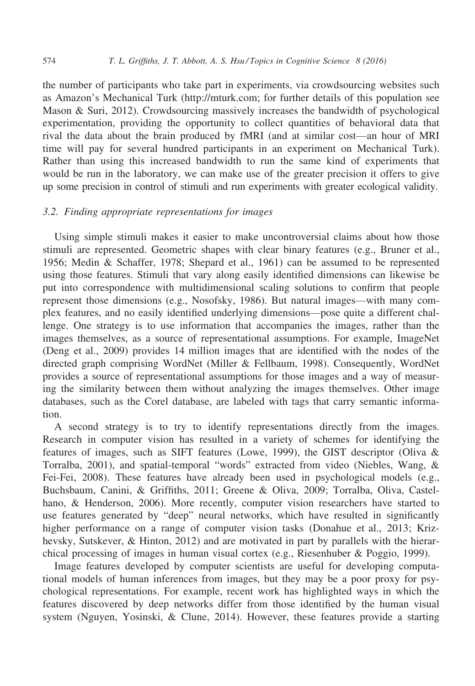the number of participants who take part in experiments, via crowdsourcing websites such as Amazon's Mechanical Turk (http://mturk.com; for further details of this population see Mason & Suri, 2012). Crowdsourcing massively increases the bandwidth of psychological experimentation, providing the opportunity to collect quantities of behavioral data that rival the data about the brain produced by fMRI (and at similar cost—an hour of MRI time will pay for several hundred participants in an experiment on Mechanical Turk). Rather than using this increased bandwidth to run the same kind of experiments that would be run in the laboratory, we can make use of the greater precision it offers to give up some precision in control of stimuli and run experiments with greater ecological validity.

# 3.2. Finding appropriate representations for images

Using simple stimuli makes it easier to make uncontroversial claims about how those stimuli are represented. Geometric shapes with clear binary features (e.g., Bruner et al., 1956; Medin & Schaffer, 1978; Shepard et al., 1961) can be assumed to be represented using those features. Stimuli that vary along easily identified dimensions can likewise be put into correspondence with multidimensional scaling solutions to confirm that people represent those dimensions (e.g., Nosofsky, 1986). But natural images—with many complex features, and no easily identified underlying dimensions—pose quite a different challenge. One strategy is to use information that accompanies the images, rather than the images themselves, as a source of representational assumptions. For example, ImageNet (Deng et al., 2009) provides 14 million images that are identified with the nodes of the directed graph comprising WordNet (Miller & Fellbaum, 1998). Consequently, WordNet provides a source of representational assumptions for those images and a way of measuring the similarity between them without analyzing the images themselves. Other image databases, such as the Corel database, are labeled with tags that carry semantic information.

A second strategy is to try to identify representations directly from the images. Research in computer vision has resulted in a variety of schemes for identifying the features of images, such as SIFT features (Lowe, 1999), the GIST descriptor (Oliva & Torralba, 2001), and spatial-temporal "words" extracted from video (Niebles, Wang, & Fei-Fei, 2008). These features have already been used in psychological models (e.g., Buchsbaum, Canini, & Griffiths, 2011; Greene & Oliva, 2009; Torralba, Oliva, Castelhano, & Henderson, 2006). More recently, computer vision researchers have started to use features generated by "deep" neural networks, which have resulted in significantly higher performance on a range of computer vision tasks (Donahue et al., 2013; Krizhevsky, Sutskever, & Hinton, 2012) and are motivated in part by parallels with the hierarchical processing of images in human visual cortex (e.g., Riesenhuber & Poggio, 1999).

Image features developed by computer scientists are useful for developing computational models of human inferences from images, but they may be a poor proxy for psychological representations. For example, recent work has highlighted ways in which the features discovered by deep networks differ from those identified by the human visual system (Nguyen, Yosinski, & Clune, 2014). However, these features provide a starting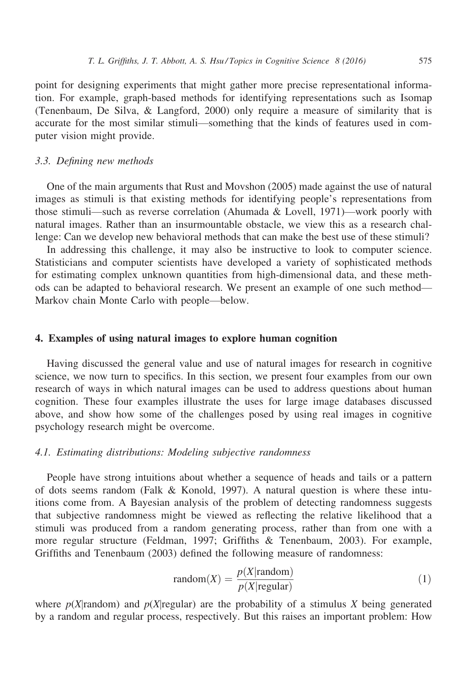point for designing experiments that might gather more precise representational information. For example, graph-based methods for identifying representations such as Isomap (Tenenbaum, De Silva, & Langford, 2000) only require a measure of similarity that is accurate for the most similar stimuli—something that the kinds of features used in computer vision might provide.

## 3.3. Defining new methods

One of the main arguments that Rust and Movshon (2005) made against the use of natural images as stimuli is that existing methods for identifying people's representations from those stimuli—such as reverse correlation (Ahumada & Lovell, 1971)—work poorly with natural images. Rather than an insurmountable obstacle, we view this as a research challenge: Can we develop new behavioral methods that can make the best use of these stimuli?

In addressing this challenge, it may also be instructive to look to computer science. Statisticians and computer scientists have developed a variety of sophisticated methods for estimating complex unknown quantities from high-dimensional data, and these methods can be adapted to behavioral research. We present an example of one such method— Markov chain Monte Carlo with people—below.

## 4. Examples of using natural images to explore human cognition

Having discussed the general value and use of natural images for research in cognitive science, we now turn to specifics. In this section, we present four examples from our own research of ways in which natural images can be used to address questions about human cognition. These four examples illustrate the uses for large image databases discussed above, and show how some of the challenges posed by using real images in cognitive psychology research might be overcome.

#### 4.1. Estimating distributions: Modeling subjective randomness

People have strong intuitions about whether a sequence of heads and tails or a pattern of dots seems random (Falk & Konold, 1997). A natural question is where these intuitions come from. A Bayesian analysis of the problem of detecting randomness suggests that subjective randomness might be viewed as reflecting the relative likelihood that a stimuli was produced from a random generating process, rather than from one with a more regular structure (Feldman, 1997; Griffiths & Tenenbaum, 2003). For example, Griffiths and Tenenbaum (2003) defined the following measure of randomness:

$$
random(X) = \frac{p(X|\text{random})}{p(X|\text{regular})}
$$
\n(1)

where  $p(X|\text{random})$  and  $p(X|\text{regular})$  are the probability of a stimulus X being generated by a random and regular process, respectively. But this raises an important problem: How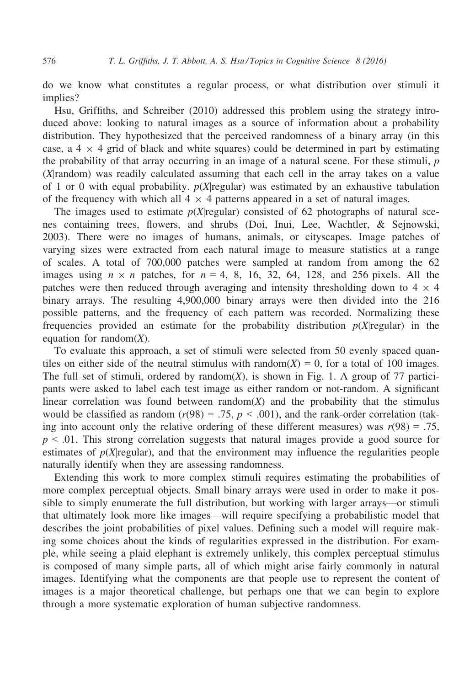do we know what constitutes a regular process, or what distribution over stimuli it implies?

Hsu, Griffiths, and Schreiber (2010) addressed this problem using the strategy introduced above: looking to natural images as a source of information about a probability distribution. They hypothesized that the perceived randomness of a binary array (in this case, a  $4 \times 4$  grid of black and white squares) could be determined in part by estimating the probability of that array occurring in an image of a natural scene. For these stimuli,  $p$ (X|random) was readily calculated assuming that each cell in the array takes on a value of 1 or 0 with equal probability.  $p(X|regular)$  was estimated by an exhaustive tabulation of the frequency with which all  $4 \times 4$  patterns appeared in a set of natural images.

The images used to estimate  $p(X|regular)$  consisted of 62 photographs of natural scenes containing trees, flowers, and shrubs (Doi, Inui, Lee, Wachtler, & Sejnowski, 2003). There were no images of humans, animals, or cityscapes. Image patches of varying sizes were extracted from each natural image to measure statistics at a range of scales. A total of 700,000 patches were sampled at random from among the 62 images using  $n \times n$  patches, for  $n = 4, 8, 16, 32, 64, 128,$  and 256 pixels. All the patches were then reduced through averaging and intensity thresholding down to  $4 \times 4$ binary arrays. The resulting 4,900,000 binary arrays were then divided into the 216 possible patterns, and the frequency of each pattern was recorded. Normalizing these frequencies provided an estimate for the probability distribution  $p(X|$ regular) in the equation for random $(X)$ .

To evaluate this approach, a set of stimuli were selected from 50 evenly spaced quantiles on either side of the neutral stimulus with random $(X) = 0$ , for a total of 100 images. The full set of stimuli, ordered by random $(X)$ , is shown in Fig. 1. A group of 77 participants were asked to label each test image as either random or not-random. A significant linear correlation was found between random $(X)$  and the probability that the stimulus would be classified as random ( $r(98) = .75$ ,  $p < .001$ ), and the rank-order correlation (taking into account only the relative ordering of these different measures) was  $r(98) = .75$ ,  $p \leq 0.01$ . This strong correlation suggests that natural images provide a good source for estimates of  $p(X|regular)$ , and that the environment may influence the regularities people naturally identify when they are assessing randomness.

Extending this work to more complex stimuli requires estimating the probabilities of more complex perceptual objects. Small binary arrays were used in order to make it possible to simply enumerate the full distribution, but working with larger arrays—or stimuli that ultimately look more like images—will require specifying a probabilistic model that describes the joint probabilities of pixel values. Defining such a model will require making some choices about the kinds of regularities expressed in the distribution. For example, while seeing a plaid elephant is extremely unlikely, this complex perceptual stimulus is composed of many simple parts, all of which might arise fairly commonly in natural images. Identifying what the components are that people use to represent the content of images is a major theoretical challenge, but perhaps one that we can begin to explore through a more systematic exploration of human subjective randomness.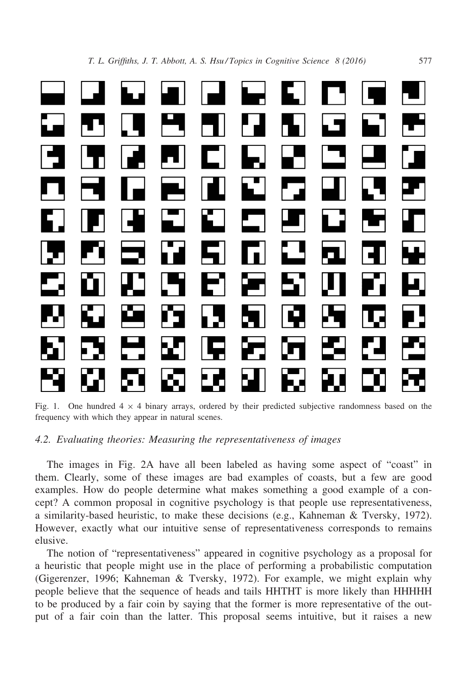

Fig. 1. One hundred  $4 \times 4$  binary arrays, ordered by their predicted subjective randomness based on the frequency with which they appear in natural scenes.

# 4.2. Evaluating theories: Measuring the representativeness of images

The images in Fig. 2A have all been labeled as having some aspect of "coast" in them. Clearly, some of these images are bad examples of coasts, but a few are good examples. How do people determine what makes something a good example of a concept? A common proposal in cognitive psychology is that people use representativeness, a similarity-based heuristic, to make these decisions (e.g., Kahneman & Tversky, 1972). However, exactly what our intuitive sense of representativeness corresponds to remains elusive.

The notion of "representativeness" appeared in cognitive psychology as a proposal for a heuristic that people might use in the place of performing a probabilistic computation (Gigerenzer, 1996; Kahneman & Tversky, 1972). For example, we might explain why people believe that the sequence of heads and tails HHTHT is more likely than HHHHH to be produced by a fair coin by saying that the former is more representative of the output of a fair coin than the latter. This proposal seems intuitive, but it raises a new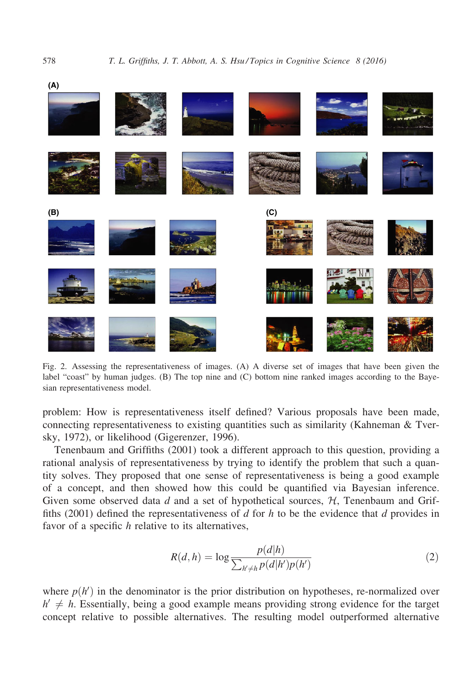

Fig. 2. Assessing the representativeness of images. (A) A diverse set of images that have been given the label "coast" by human judges. (B) The top nine and (C) bottom nine ranked images according to the Bayesian representativeness model.

problem: How is representativeness itself defined? Various proposals have been made, connecting representativeness to existing quantities such as similarity (Kahneman & Tversky, 1972), or likelihood (Gigerenzer, 1996).

Tenenbaum and Griffiths (2001) took a different approach to this question, providing a rational analysis of representativeness by trying to identify the problem that such a quantity solves. They proposed that one sense of representativeness is being a good example of a concept, and then showed how this could be quantified via Bayesian inference. Given some observed data d and a set of hypothetical sources,  $H$ , Tenenbaum and Griffiths (2001) defined the representativeness of  $d$  for  $h$  to be the evidence that  $d$  provides in favor of a specific  $h$  relative to its alternatives,

$$
R(d,h) = \log \frac{p(d|h)}{\sum_{h' \neq h} p(d|h')p(h')}
$$
 (2)

where  $p(h')$  in the denominator is the prior distribution on hypotheses, re-normalized over<br> $h' \nightharpoonup h$ . Essentially, being a good example means providing strong evidence for the target  $h' \neq h$ . Essentially, being a good example means providing strong evidence for the target concept relative to possible alternatives. The resulting model outperformed alternative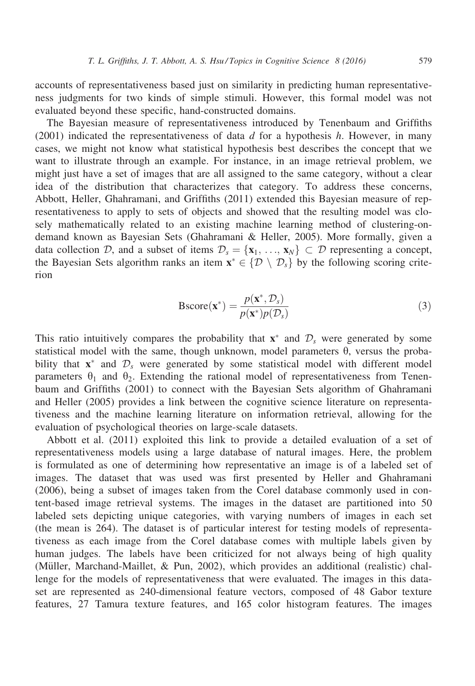accounts of representativeness based just on similarity in predicting human representativeness judgments for two kinds of simple stimuli. However, this formal model was not evaluated beyond these specific, hand-constructed domains.

The Bayesian measure of representativeness introduced by Tenenbaum and Griffiths  $(2001)$  indicated the representativeness of data d for a hypothesis h. However, in many cases, we might not know what statistical hypothesis best describes the concept that we want to illustrate through an example. For instance, in an image retrieval problem, we might just have a set of images that are all assigned to the same category, without a clear idea of the distribution that characterizes that category. To address these concerns, Abbott, Heller, Ghahramani, and Griffiths (2011) extended this Bayesian measure of representativeness to apply to sets of objects and showed that the resulting model was closely mathematically related to an existing machine learning method of clustering-ondemand known as Bayesian Sets (Ghahramani & Heller, 2005). More formally, given a data collection D, and a subset of items  $\mathcal{D}_s = {\mathbf{x}_1, \dots, \mathbf{x}_N} \subset \mathcal{D}$  representing a concept,<br>the Bayesian Sets algorithm ranks an item  $\mathbf{x}^* \in \{D \setminus D\}$  by the following scoring critethe Bayesian Sets algorithm ranks an item  $\mathbf{x}^* \in \{D \setminus \mathcal{D}_s\}$  by the following scoring criterion

$$
\text{Bscore}(\mathbf{x}^*) = \frac{p(\mathbf{x}^*, \mathcal{D}_s)}{p(\mathbf{x}^*)p(\mathcal{D}_s)}
$$
(3)

This ratio intuitively compares the probability that  $x^*$  and  $\mathcal{D}_s$  were generated by some statistical model with the same, though unknown, model parameters  $\theta$ , versus the probability that  $x^*$  and  $\mathcal{D}_s$  were generated by some statistical model with different model parameters  $\theta_1$  and  $\theta_2$ . Extending the rational model of representativeness from Tenenbaum and Griffiths (2001) to connect with the Bayesian Sets algorithm of Ghahramani and Heller (2005) provides a link between the cognitive science literature on representativeness and the machine learning literature on information retrieval, allowing for the evaluation of psychological theories on large-scale datasets.

Abbott et al. (2011) exploited this link to provide a detailed evaluation of a set of representativeness models using a large database of natural images. Here, the problem is formulated as one of determining how representative an image is of a labeled set of images. The dataset that was used was first presented by Heller and Ghahramani (2006), being a subset of images taken from the Corel database commonly used in content-based image retrieval systems. The images in the dataset are partitioned into 50 labeled sets depicting unique categories, with varying numbers of images in each set (the mean is 264). The dataset is of particular interest for testing models of representativeness as each image from the Corel database comes with multiple labels given by human judges. The labels have been criticized for not always being of high quality (Müller, Marchand-Maillet, & Pun, 2002), which provides an additional (realistic) challenge for the models of representativeness that were evaluated. The images in this dataset are represented as 240-dimensional feature vectors, composed of 48 Gabor texture features, 27 Tamura texture features, and 165 color histogram features. The images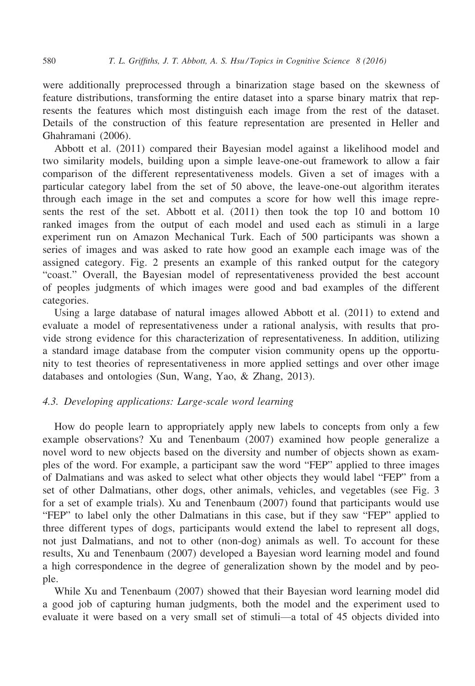were additionally preprocessed through a binarization stage based on the skewness of feature distributions, transforming the entire dataset into a sparse binary matrix that represents the features which most distinguish each image from the rest of the dataset. Details of the construction of this feature representation are presented in Heller and Ghahramani (2006).

Abbott et al. (2011) compared their Bayesian model against a likelihood model and two similarity models, building upon a simple leave-one-out framework to allow a fair comparison of the different representativeness models. Given a set of images with a particular category label from the set of 50 above, the leave-one-out algorithm iterates through each image in the set and computes a score for how well this image represents the rest of the set. Abbott et al. (2011) then took the top 10 and bottom 10 ranked images from the output of each model and used each as stimuli in a large experiment run on Amazon Mechanical Turk. Each of 500 participants was shown a series of images and was asked to rate how good an example each image was of the assigned category. Fig. 2 presents an example of this ranked output for the category "coast." Overall, the Bayesian model of representativeness provided the best account of peoples judgments of which images were good and bad examples of the different categories.

Using a large database of natural images allowed Abbott et al. (2011) to extend and evaluate a model of representativeness under a rational analysis, with results that provide strong evidence for this characterization of representativeness. In addition, utilizing a standard image database from the computer vision community opens up the opportunity to test theories of representativeness in more applied settings and over other image databases and ontologies (Sun, Wang, Yao, & Zhang, 2013).

# 4.3. Developing applications: Large-scale word learning

How do people learn to appropriately apply new labels to concepts from only a few example observations? Xu and Tenenbaum (2007) examined how people generalize a novel word to new objects based on the diversity and number of objects shown as examples of the word. For example, a participant saw the word "FEP" applied to three images of Dalmatians and was asked to select what other objects they would label "FEP" from a set of other Dalmatians, other dogs, other animals, vehicles, and vegetables (see Fig. 3 for a set of example trials). Xu and Tenenbaum (2007) found that participants would use "FEP" to label only the other Dalmatians in this case, but if they saw "FEP" applied to three different types of dogs, participants would extend the label to represent all dogs, not just Dalmatians, and not to other (non-dog) animals as well. To account for these results, Xu and Tenenbaum (2007) developed a Bayesian word learning model and found a high correspondence in the degree of generalization shown by the model and by people.

While Xu and Tenenbaum (2007) showed that their Bayesian word learning model did a good job of capturing human judgments, both the model and the experiment used to evaluate it were based on a very small set of stimuli—a total of 45 objects divided into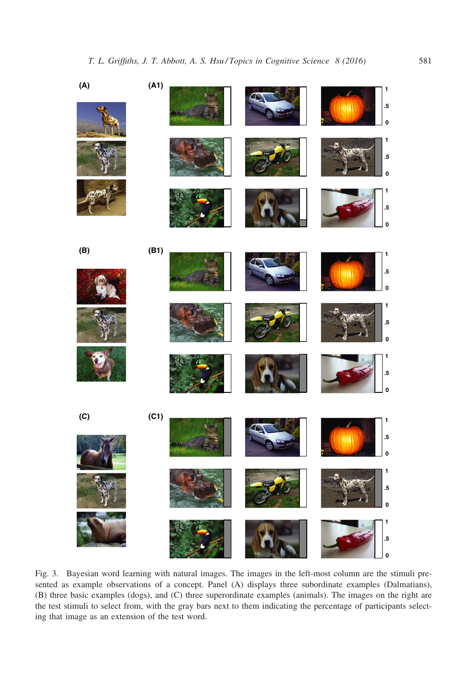

Fig. 3. Bayesian word learning with natural images. The images in the left-most column are the stimuli presented as example observations of a concept. Panel (A) displays three subordinate examples (Dalmatians), (B) three basic examples (dogs), and (C) three superordinate examples (animals). The images on the right are the test stimuli to select from, with the gray bars next to them indicating the percentage of participants selecting that image as an extension of the test word.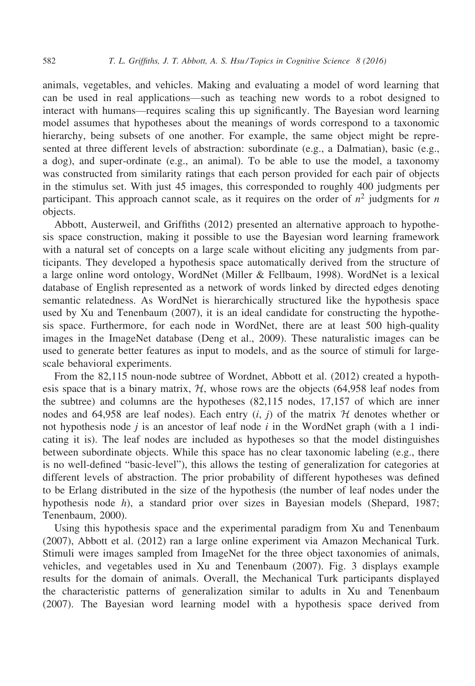animals, vegetables, and vehicles. Making and evaluating a model of word learning that can be used in real applications—such as teaching new words to a robot designed to interact with humans—requires scaling this up significantly. The Bayesian word learning model assumes that hypotheses about the meanings of words correspond to a taxonomic hierarchy, being subsets of one another. For example, the same object might be represented at three different levels of abstraction: subordinate (e.g., a Dalmatian), basic (e.g., a dog), and super-ordinate (e.g., an animal). To be able to use the model, a taxonomy was constructed from similarity ratings that each person provided for each pair of objects in the stimulus set. With just 45 images, this corresponded to roughly 400 judgments per participant. This approach cannot scale, as it requires on the order of  $n^2$  judgments for n objects.

Abbott, Austerweil, and Griffiths (2012) presented an alternative approach to hypothesis space construction, making it possible to use the Bayesian word learning framework with a natural set of concepts on a large scale without eliciting any judgments from participants. They developed a hypothesis space automatically derived from the structure of a large online word ontology, WordNet (Miller & Fellbaum, 1998). WordNet is a lexical database of English represented as a network of words linked by directed edges denoting semantic relatedness. As WordNet is hierarchically structured like the hypothesis space used by Xu and Tenenbaum (2007), it is an ideal candidate for constructing the hypothesis space. Furthermore, for each node in WordNet, there are at least 500 high-quality images in the ImageNet database (Deng et al., 2009). These naturalistic images can be used to generate better features as input to models, and as the source of stimuli for largescale behavioral experiments.

From the 82,115 noun-node subtree of Wordnet, Abbott et al. (2012) created a hypothesis space that is a binary matrix,  $H$ , whose rows are the objects (64,958 leaf nodes from the subtree) and columns are the hypotheses (82,115 nodes, 17,157 of which are inner nodes and 64,958 are leaf nodes). Each entry  $(i, j)$  of the matrix  $H$  denotes whether or not hypothesis node *j* is an ancestor of leaf node *i* in the WordNet graph (with a 1 indicating it is). The leaf nodes are included as hypotheses so that the model distinguishes between subordinate objects. While this space has no clear taxonomic labeling (e.g., there is no well-defined "basic-level"), this allows the testing of generalization for categories at different levels of abstraction. The prior probability of different hypotheses was defined to be Erlang distributed in the size of the hypothesis (the number of leaf nodes under the hypothesis node h), a standard prior over sizes in Bayesian models (Shepard, 1987; Tenenbaum, 2000).

Using this hypothesis space and the experimental paradigm from Xu and Tenenbaum (2007), Abbott et al. (2012) ran a large online experiment via Amazon Mechanical Turk. Stimuli were images sampled from ImageNet for the three object taxonomies of animals, vehicles, and vegetables used in Xu and Tenenbaum (2007). Fig. 3 displays example results for the domain of animals. Overall, the Mechanical Turk participants displayed the characteristic patterns of generalization similar to adults in Xu and Tenenbaum (2007). The Bayesian word learning model with a hypothesis space derived from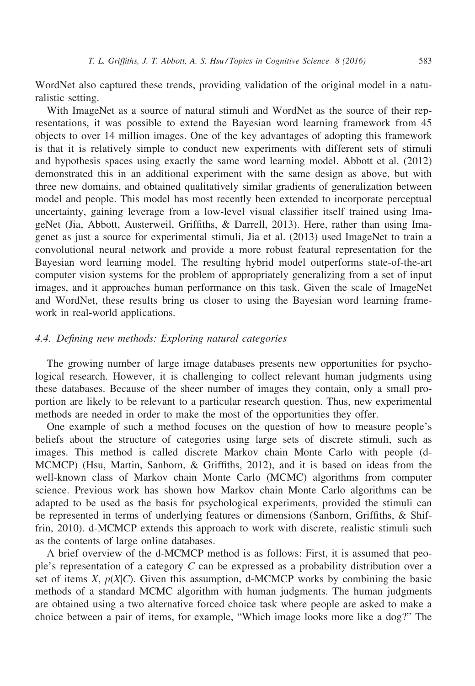WordNet also captured these trends, providing validation of the original model in a naturalistic setting.

With ImageNet as a source of natural stimuli and WordNet as the source of their representations, it was possible to extend the Bayesian word learning framework from 45 objects to over 14 million images. One of the key advantages of adopting this framework is that it is relatively simple to conduct new experiments with different sets of stimuli and hypothesis spaces using exactly the same word learning model. Abbott et al. (2012) demonstrated this in an additional experiment with the same design as above, but with three new domains, and obtained qualitatively similar gradients of generalization between model and people. This model has most recently been extended to incorporate perceptual uncertainty, gaining leverage from a low-level visual classifier itself trained using ImageNet (Jia, Abbott, Austerweil, Griffiths, & Darrell, 2013). Here, rather than using Imagenet as just a source for experimental stimuli, Jia et al. (2013) used ImageNet to train a convolutional neural network and provide a more robust featural representation for the Bayesian word learning model. The resulting hybrid model outperforms state-of-the-art computer vision systems for the problem of appropriately generalizing from a set of input images, and it approaches human performance on this task. Given the scale of ImageNet and WordNet, these results bring us closer to using the Bayesian word learning framework in real-world applications.

## 4.4. Defining new methods: Exploring natural categories

The growing number of large image databases presents new opportunities for psychological research. However, it is challenging to collect relevant human judgments using these databases. Because of the sheer number of images they contain, only a small proportion are likely to be relevant to a particular research question. Thus, new experimental methods are needed in order to make the most of the opportunities they offer.

One example of such a method focuses on the question of how to measure people's beliefs about the structure of categories using large sets of discrete stimuli, such as images. This method is called discrete Markov chain Monte Carlo with people (d-MCMCP) (Hsu, Martin, Sanborn, & Griffiths, 2012), and it is based on ideas from the well-known class of Markov chain Monte Carlo (MCMC) algorithms from computer science. Previous work has shown how Markov chain Monte Carlo algorithms can be adapted to be used as the basis for psychological experiments, provided the stimuli can be represented in terms of underlying features or dimensions (Sanborn, Griffiths, & Shiffrin, 2010). d-MCMCP extends this approach to work with discrete, realistic stimuli such as the contents of large online databases.

A brief overview of the d-MCMCP method is as follows: First, it is assumed that people's representation of a category C can be expressed as a probability distribution over a set of items  $X$ ,  $p(X|C)$ . Given this assumption, d-MCMCP works by combining the basic methods of a standard MCMC algorithm with human judgments. The human judgments are obtained using a two alternative forced choice task where people are asked to make a choice between a pair of items, for example, "Which image looks more like a dog?" The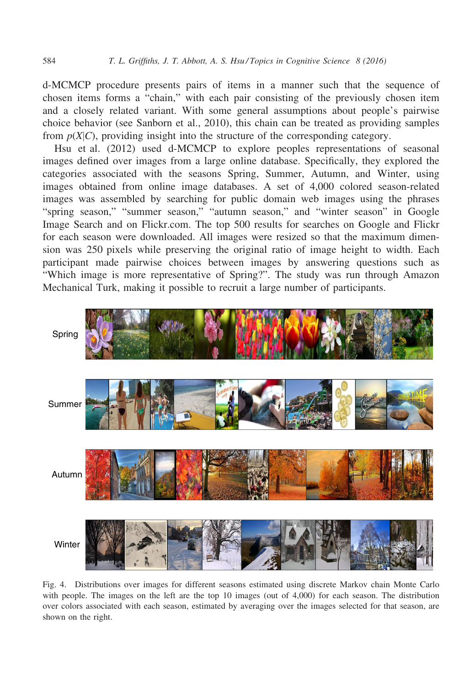d-MCMCP procedure presents pairs of items in a manner such that the sequence of chosen items forms a "chain," with each pair consisting of the previously chosen item and a closely related variant. With some general assumptions about people's pairwise choice behavior (see Sanborn et al., 2010), this chain can be treated as providing samples from  $p(X|C)$ , providing insight into the structure of the corresponding category.

Hsu et al. (2012) used d-MCMCP to explore peoples representations of seasonal images defined over images from a large online database. Specifically, they explored the categories associated with the seasons Spring, Summer, Autumn, and Winter, using images obtained from online image databases. A set of 4,000 colored season-related images was assembled by searching for public domain web images using the phrases "spring season," "summer season," "autumn season," and "winter season" in Google Image Search and on Flickr.com. The top 500 results for searches on Google and Flickr for each season were downloaded. All images were resized so that the maximum dimension was 250 pixels while preserving the original ratio of image height to width. Each participant made pairwise choices between images by answering questions such as "Which image is more representative of Spring?". The study was run through Amazon Mechanical Turk, making it possible to recruit a large number of participants.



Fig. 4. Distributions over images for different seasons estimated using discrete Markov chain Monte Carlo with people. The images on the left are the top 10 images (out of 4,000) for each season. The distribution over colors associated with each season, estimated by averaging over the images selected for that season, are shown on the right.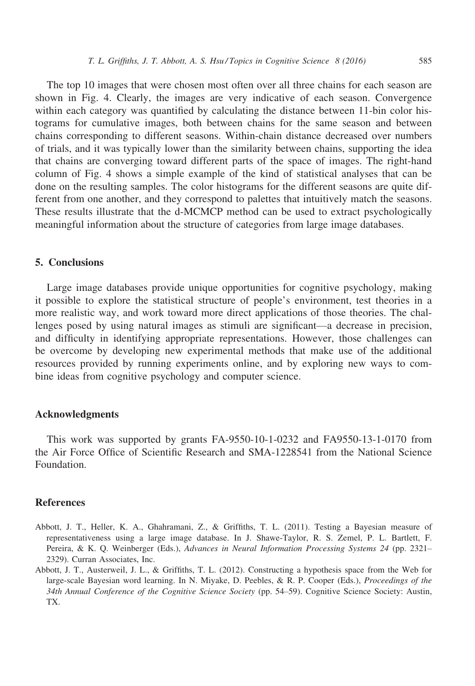The top 10 images that were chosen most often over all three chains for each season are shown in Fig. 4. Clearly, the images are very indicative of each season. Convergence within each category was quantified by calculating the distance between 11-bin color histograms for cumulative images, both between chains for the same season and between chains corresponding to different seasons. Within-chain distance decreased over numbers of trials, and it was typically lower than the similarity between chains, supporting the idea that chains are converging toward different parts of the space of images. The right-hand column of Fig. 4 shows a simple example of the kind of statistical analyses that can be done on the resulting samples. The color histograms for the different seasons are quite different from one another, and they correspond to palettes that intuitively match the seasons. These results illustrate that the d-MCMCP method can be used to extract psychologically meaningful information about the structure of categories from large image databases.

# 5. Conclusions

Large image databases provide unique opportunities for cognitive psychology, making it possible to explore the statistical structure of people's environment, test theories in a more realistic way, and work toward more direct applications of those theories. The challenges posed by using natural images as stimuli are significant—a decrease in precision, and difficulty in identifying appropriate representations. However, those challenges can be overcome by developing new experimental methods that make use of the additional resources provided by running experiments online, and by exploring new ways to combine ideas from cognitive psychology and computer science.

#### Acknowledgments

This work was supported by grants FA-9550-10-1-0232 and FA9550-13-1-0170 from the Air Force Office of Scientific Research and SMA-1228541 from the National Science Foundation.

#### References

- Abbott, J. T., Heller, K. A., Ghahramani, Z., & Griffiths, T. L. (2011). Testing a Bayesian measure of representativeness using a large image database. In J. Shawe-Taylor, R. S. Zemel, P. L. Bartlett, F. Pereira, & K. Q. Weinberger (Eds.), Advances in Neural Information Processing Systems 24 (pp. 2321– 2329). Curran Associates, Inc.
- Abbott, J. T., Austerweil, J. L., & Griffiths, T. L. (2012). Constructing a hypothesis space from the Web for large-scale Bayesian word learning. In N. Miyake, D. Peebles, & R. P. Cooper (Eds.), Proceedings of the 34th Annual Conference of the Cognitive Science Society (pp. 54–59). Cognitive Science Society: Austin, TX.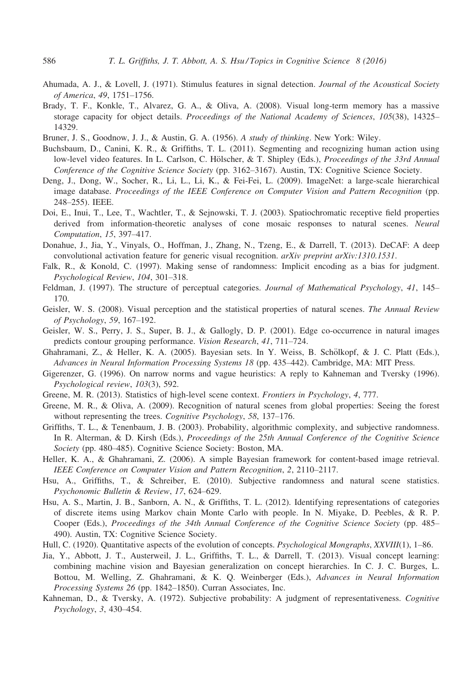- Ahumada, A. J., & Lovell, J. (1971). Stimulus features in signal detection. Journal of the Acoustical Society of America, 49, 1751–1756.
- Brady, T. F., Konkle, T., Alvarez, G. A., & Oliva, A. (2008). Visual long-term memory has a massive storage capacity for object details. Proceedings of the National Academy of Sciences, 105(38), 14325– 14329.
- Bruner, J. S., Goodnow, J. J., & Austin, G. A. (1956). A study of thinking. New York: Wiley.
- Buchsbaum, D., Canini, K. R., & Griffiths, T. L. (2011). Segmenting and recognizing human action using low-level video features. In L. Carlson, C. Hölscher, & T. Shipley (Eds.), Proceedings of the 33rd Annual Conference of the Cognitive Science Society (pp. 3162–3167). Austin, TX: Cognitive Science Society.
- Deng, J., Dong, W., Socher, R., Li, L., Li, K., & Fei-Fei, L. (2009). ImageNet: a large-scale hierarchical image database. Proceedings of the IEEE Conference on Computer Vision and Pattern Recognition (pp. 248–255). IEEE.
- Doi, E., Inui, T., Lee, T., Wachtler, T., & Sejnowski, T. J. (2003). Spatiochromatic receptive field properties derived from information-theoretic analyses of cone mosaic responses to natural scenes. Neural Computation, 15, 397–417.
- Donahue, J., Jia, Y., Vinyals, O., Hoffman, J., Zhang, N., Tzeng, E., & Darrell, T. (2013). DeCAF: A deep convolutional activation feature for generic visual recognition. arXiv preprint arXiv:1310.1531.
- Falk, R., & Konold, C. (1997). Making sense of randomness: Implicit encoding as a bias for judgment. Psychological Review, 104, 301–318.
- Feldman, J. (1997). The structure of perceptual categories. Journal of Mathematical Psychology, 41, 145– 170.
- Geisler, W. S. (2008). Visual perception and the statistical properties of natural scenes. The Annual Review of Psychology, 59, 167–192.
- Geisler, W. S., Perry, J. S., Super, B. J., & Gallogly, D. P. (2001). Edge co-occurrence in natural images predicts contour grouping performance. Vision Research, 41, 711–724.
- Ghahramani, Z., & Heller, K. A. (2005). Bayesian sets. In Y. Weiss, B. Schölkopf, & J. C. Platt (Eds.), Advances in Neural Information Processing Systems 18 (pp. 435–442). Cambridge, MA: MIT Press.
- Gigerenzer, G. (1996). On narrow norms and vague heuristics: A reply to Kahneman and Tversky (1996). Psychological review, 103(3), 592.
- Greene, M. R. (2013). Statistics of high-level scene context. Frontiers in Psychology, 4, 777.
- Greene, M. R., & Oliva, A. (2009). Recognition of natural scenes from global properties: Seeing the forest without representing the trees. Cognitive Psychology, 58, 137–176.
- Griffiths, T. L., & Tenenbaum, J. B. (2003). Probability, algorithmic complexity, and subjective randomness. In R. Alterman, & D. Kirsh (Eds.), Proceedings of the 25th Annual Conference of the Cognitive Science Society (pp. 480–485). Cognitive Science Society: Boston, MA.
- Heller, K. A., & Ghahramani, Z. (2006). A simple Bayesian framework for content-based image retrieval. IEEE Conference on Computer Vision and Pattern Recognition, 2, 2110–2117.
- Hsu, A., Griffiths, T., & Schreiber, E. (2010). Subjective randomness and natural scene statistics. Psychonomic Bulletin & Review, 17, 624–629.
- Hsu, A. S., Martin, J. B., Sanborn, A. N., & Griffiths, T. L. (2012). Identifying representations of categories of discrete items using Markov chain Monte Carlo with people. In N. Miyake, D. Peebles, & R. P. Cooper (Eds.), Proceedings of the 34th Annual Conference of the Cognitive Science Society (pp. 485– 490). Austin, TX: Cognitive Science Society.
- Hull, C. (1920). Quantitative aspects of the evolution of concepts. Psychological Mongraphs, XXVIII(1), 1–86.
- Jia, Y., Abbott, J. T., Austerweil, J. L., Griffiths, T. L., & Darrell, T. (2013). Visual concept learning: combining machine vision and Bayesian generalization on concept hierarchies. In C. J. C. Burges, L. Bottou, M. Welling, Z. Ghahramani, & K. Q. Weinberger (Eds.), Advances in Neural Information Processing Systems 26 (pp. 1842–1850). Curran Associates, Inc.
- Kahneman, D., & Tversky, A. (1972). Subjective probability: A judgment of representativeness. Cognitive Psychology, 3, 430–454.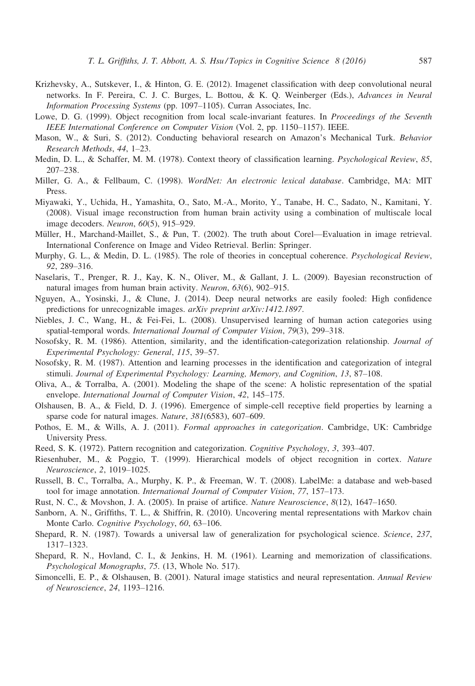- Krizhevsky, A., Sutskever, I., & Hinton, G. E. (2012). Imagenet classification with deep convolutional neural networks. In F. Pereira, C. J. C. Burges, L. Bottou, & K. Q. Weinberger (Eds.), Advances in Neural Information Processing Systems (pp. 1097–1105). Curran Associates, Inc.
- Lowe, D. G. (1999). Object recognition from local scale-invariant features. In Proceedings of the Seventh IEEE International Conference on Computer Vision (Vol. 2, pp. 1150–1157). IEEE.
- Mason, W., & Suri, S. (2012). Conducting behavioral research on Amazon's Mechanical Turk. Behavior Research Methods, 44, 1–23.
- Medin, D. L., & Schaffer, M. M. (1978). Context theory of classification learning. Psychological Review, 85, 207–238.
- Miller, G. A., & Fellbaum, C. (1998). WordNet: An electronic lexical database. Cambridge, MA: MIT Press.
- Miyawaki, Y., Uchida, H., Yamashita, O., Sato, M.-A., Morito, Y., Tanabe, H. C., Sadato, N., Kamitani, Y. (2008). Visual image reconstruction from human brain activity using a combination of multiscale local image decoders. Neuron, 60(5), 915–929.
- Müller, H., Marchand-Maillet, S., & Pun, T. (2002). The truth about Corel—Evaluation in image retrieval. International Conference on Image and Video Retrieval. Berlin: Springer.
- Murphy, G. L., & Medin, D. L. (1985). The role of theories in conceptual coherence. *Psychological Review*, 92, 289–316.
- Naselaris, T., Prenger, R. J., Kay, K. N., Oliver, M., & Gallant, J. L. (2009). Bayesian reconstruction of natural images from human brain activity. Neuron, 63(6), 902–915.
- Nguyen, A., Yosinski, J., & Clune, J. (2014). Deep neural networks are easily fooled: High confidence predictions for unrecognizable images. arXiv preprint arXiv:1412.1897.
- Niebles, J. C., Wang, H., & Fei-Fei, L. (2008). Unsupervised learning of human action categories using spatial-temporal words. International Journal of Computer Vision, 79(3), 299–318.
- Nosofsky, R. M. (1986). Attention, similarity, and the identification-categorization relationship. Journal of Experimental Psychology: General, 115, 39–57.
- Nosofsky, R. M. (1987). Attention and learning processes in the identification and categorization of integral stimuli. Journal of Experimental Psychology: Learning, Memory, and Cognition, 13, 87–108.
- Oliva, A., & Torralba, A. (2001). Modeling the shape of the scene: A holistic representation of the spatial envelope. International Journal of Computer Vision, 42, 145–175.
- Olshausen, B. A., & Field, D. J. (1996). Emergence of simple-cell receptive field properties by learning a sparse code for natural images. Nature, 381(6583), 607–609.
- Pothos, E. M., & Wills, A. J. (2011). Formal approaches in categorization. Cambridge, UK: Cambridge University Press.
- Reed, S. K. (1972). Pattern recognition and categorization. Cognitive Psychology, 3, 393–407.
- Riesenhuber, M., & Poggio, T. (1999). Hierarchical models of object recognition in cortex. Nature Neuroscience, 2, 1019–1025.
- Russell, B. C., Torralba, A., Murphy, K. P., & Freeman, W. T. (2008). LabelMe: a database and web-based tool for image annotation. International Journal of Computer Vision, 77, 157–173.
- Rust, N. C., & Movshon, J. A. (2005). In praise of artifice. Nature Neuroscience, 8(12), 1647–1650.
- Sanborn, A. N., Griffiths, T. L., & Shiffrin, R. (2010). Uncovering mental representations with Markov chain Monte Carlo. Cognitive Psychology, 60, 63–106.
- Shepard, R. N. (1987). Towards a universal law of generalization for psychological science. Science, 237, 1317–1323.
- Shepard, R. N., Hovland, C. I., & Jenkins, H. M. (1961). Learning and memorization of classifications. Psychological Monographs, 75. (13, Whole No. 517).
- Simoncelli, E. P., & Olshausen, B. (2001). Natural image statistics and neural representation. Annual Review of Neuroscience, 24, 1193–1216.